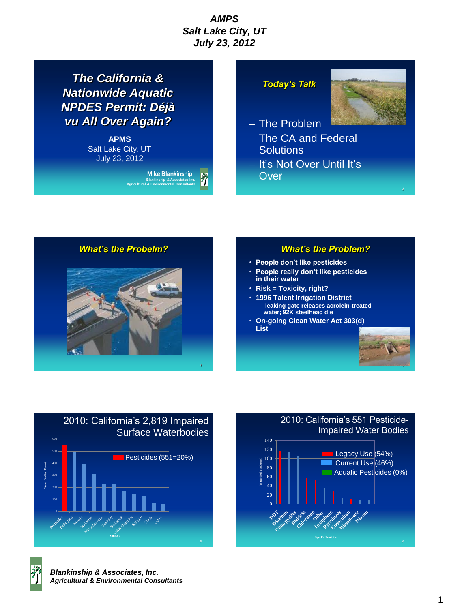*The California & Nationwide Aquatic NPDES Permit: Déjà vu All Over Again?*

> **APMS** Salt Lake City, UT July 23, 2012



## *Today's Talk*



– The Problem

- The CA and Federal **Solutions**
- It's Not Over Until It's **Over**

*What's the Probelm?*



## *What's the Problem?*

- **People don't like pesticides**
- **People really don't like pesticides in their water**
- **Risk = Toxicity, right?**
- **1996 Talent Irrigation District**
	- **leaking gate releases acrolein-treated water; 92K steelhead die**
- **On-going Clean Water Act 303(d) List**







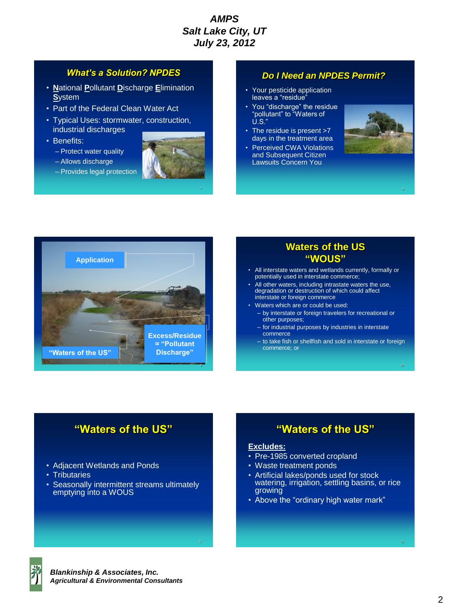#### *What's a Solution? NPDES*

- **N**ational **P**ollutant **D**ischarge **E**limination **S**ystem
- Part of the Federal Clean Water Act
- Typical Uses: stormwater, construction, industrial discharges
- Benefits:
	- Protect water quality
	- Allows discharge
	- Provides legal protection



#### *Do I Need an NPDES Permit?*

- Your pesticide application leaves a "residue"
- You "discharge" the residue "pollutant" to "Waters of  $\dot{\mathsf{U}}$ .S.
- The residue is present >7 days in the treatment area
- Perceived CWA Violations and Subsequent Citizen Lawsuits Concern You





## **Waters of the US "WOUS"**

- All interstate waters and wetlands currently, formally or potentially used in interstate commerce;
- All other waters, including intrastate waters the use, degradation or destruction of which could affect interstate or foreign commerce
- Waters which are or could be used:
- by interstate or foreign travelers for recreational or other purposes;
	- for industrial purposes by industries in interstate commerce
- to take fish or shellfish and sold in interstate or foreign commerce; or

# **"Waters of the US"**

- Adjacent Wetlands and Ponds
- Tributaries
- Seasonally intermittent streams ultimately emptying into a WOUS

**"Waters of the US"**

#### **Excludes:**

- Pre-1985 converted cropland
- Waste treatment ponds
- Artificial lakes/ponds used for stock watering, irrigation, settling basins, or rice growing
- Above the "ordinary high water mark"

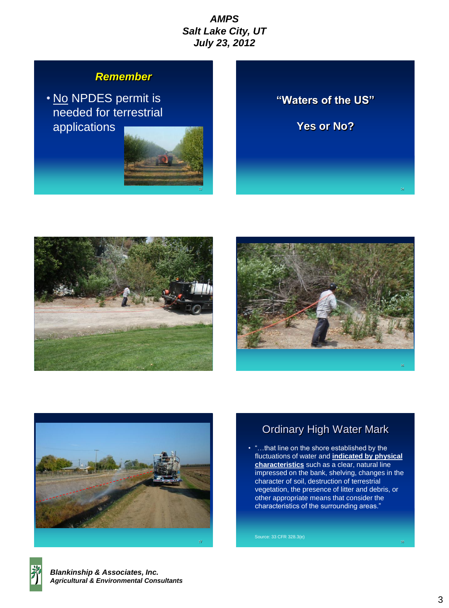# *Remember*

• No NPDES permit is needed for terrestrial applications



# **"Waters of the US"**

**Yes or No?**







# Ordinary High Water Mark

• "…that line on the shore established by the fluctuations of water and **indicated by physical characteristics** such as a clear, natural line impressed on the bank, shelving, changes in the character of soil, destruction of terrestrial vegetation, the presence of litter and debris, or other appropriate means that consider the characteristics of the surrounding areas."